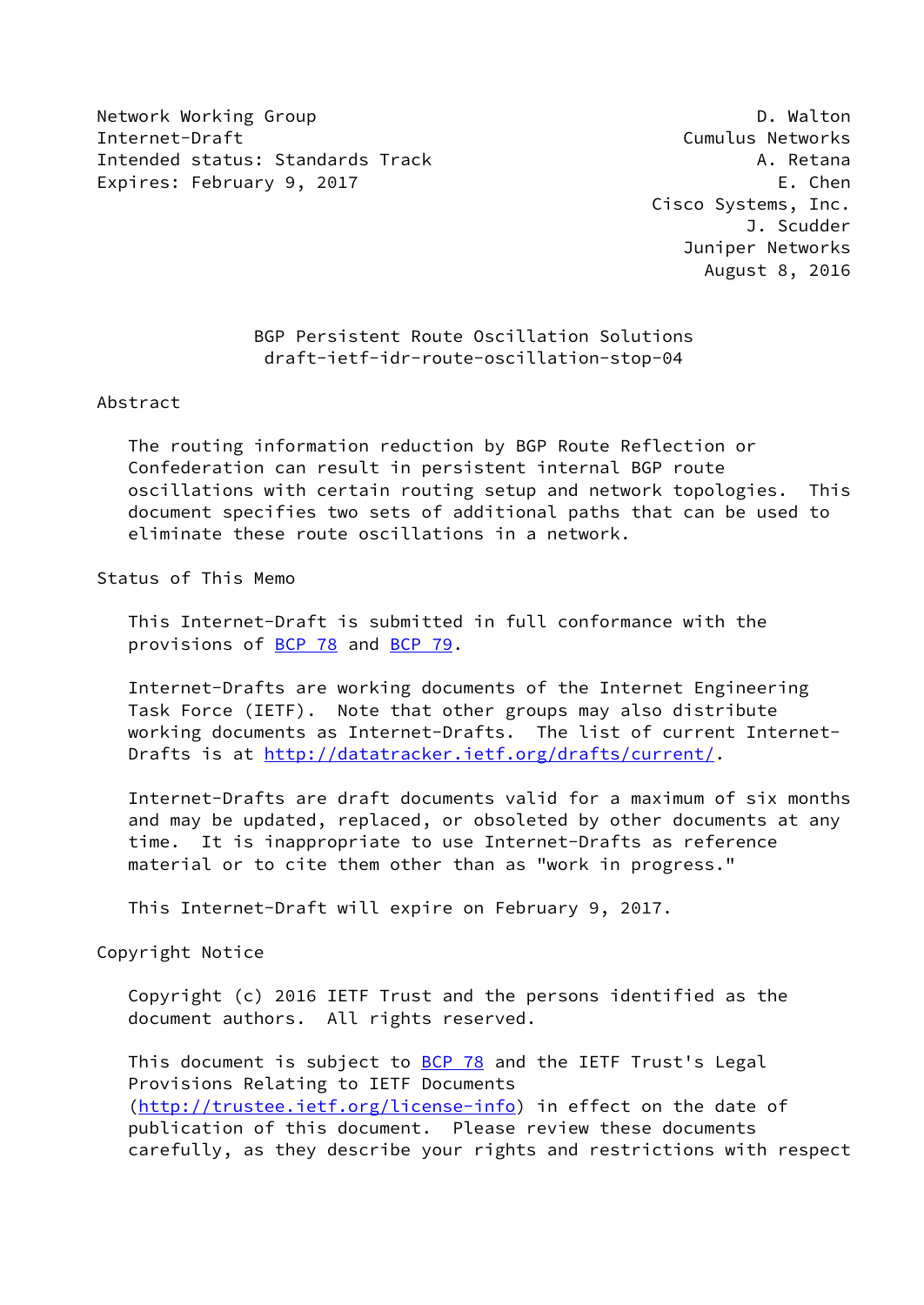Network Working Group **D. Walton** Internet-Draft Cumulus Networks Intended status: Standards Track A. Retana Expires: February 9, 2017 **Expires: E. Chen** 

 Cisco Systems, Inc. J. Scudder Juniper Networks August 8, 2016

# BGP Persistent Route Oscillation Solutions draft-ietf-idr-route-oscillation-stop-04

### Abstract

 The routing information reduction by BGP Route Reflection or Confederation can result in persistent internal BGP route oscillations with certain routing setup and network topologies. This document specifies two sets of additional paths that can be used to eliminate these route oscillations in a network.

# Status of This Memo

 This Internet-Draft is submitted in full conformance with the provisions of [BCP 78](https://datatracker.ietf.org/doc/pdf/bcp78) and [BCP 79](https://datatracker.ietf.org/doc/pdf/bcp79).

 Internet-Drafts are working documents of the Internet Engineering Task Force (IETF). Note that other groups may also distribute working documents as Internet-Drafts. The list of current Internet- Drafts is at<http://datatracker.ietf.org/drafts/current/>.

 Internet-Drafts are draft documents valid for a maximum of six months and may be updated, replaced, or obsoleted by other documents at any time. It is inappropriate to use Internet-Drafts as reference material or to cite them other than as "work in progress."

This Internet-Draft will expire on February 9, 2017.

#### Copyright Notice

 Copyright (c) 2016 IETF Trust and the persons identified as the document authors. All rights reserved.

This document is subject to **[BCP 78](https://datatracker.ietf.org/doc/pdf/bcp78)** and the IETF Trust's Legal Provisions Relating to IETF Documents [\(http://trustee.ietf.org/license-info](http://trustee.ietf.org/license-info)) in effect on the date of publication of this document. Please review these documents carefully, as they describe your rights and restrictions with respect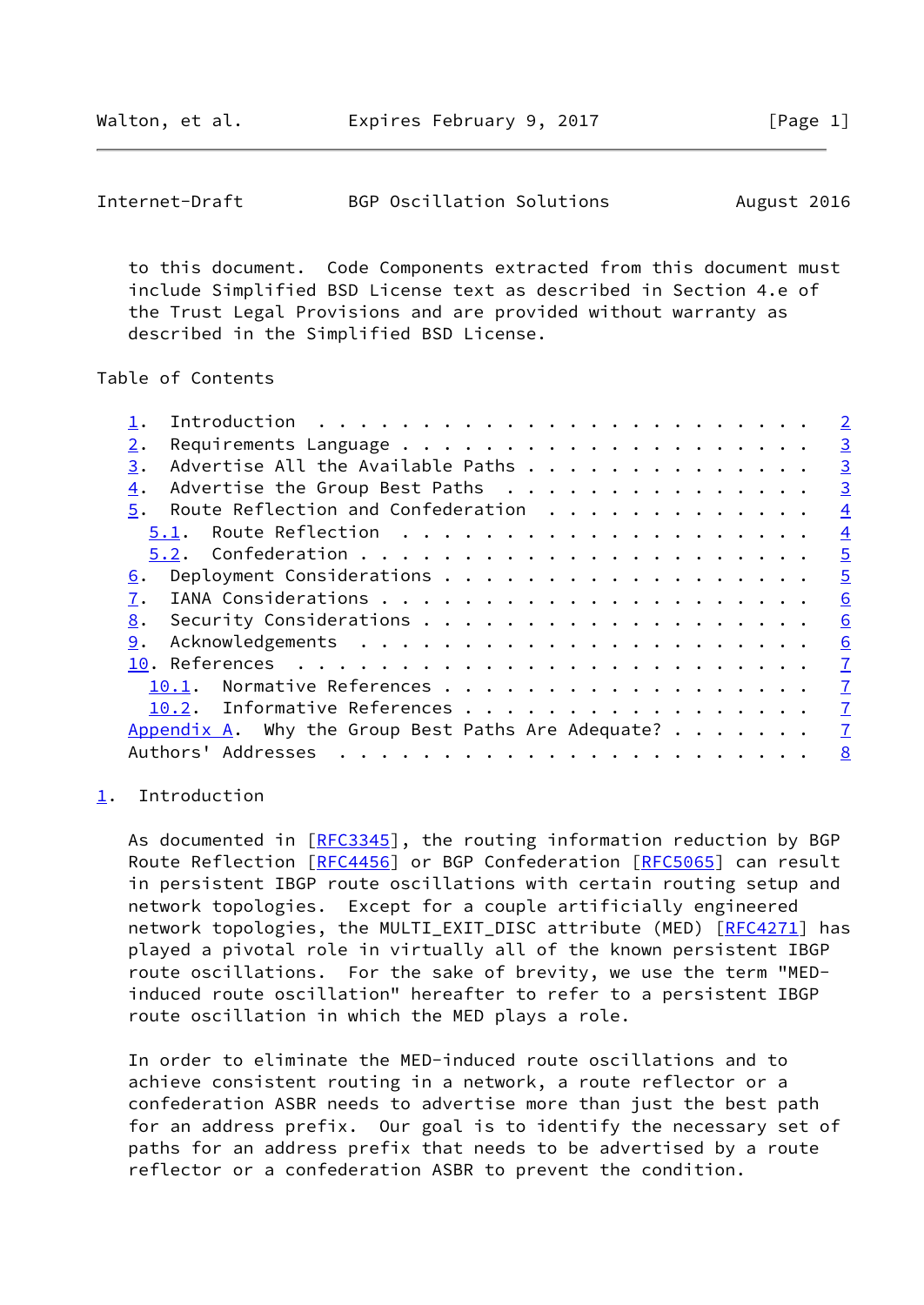<span id="page-1-1"></span>Internet-Draft BGP Oscillation Solutions August 2016

 to this document. Code Components extracted from this document must include Simplified BSD License text as described in Section 4.e of the Trust Legal Provisions and are provided without warranty as described in the Simplified BSD License.

Table of Contents

|                                                            | $\overline{2}$ |
|------------------------------------------------------------|----------------|
|                                                            | $\overline{3}$ |
| Advertise All the Available Paths                          | $\overline{3}$ |
| Advertise the Group Best Paths                             | $\overline{3}$ |
| Route Reflection and Confederation                         | $\overline{4}$ |
|                                                            | $\overline{4}$ |
|                                                            | $\overline{5}$ |
|                                                            | $\overline{5}$ |
|                                                            | 6              |
|                                                            | 6              |
|                                                            | 6              |
|                                                            | $\overline{1}$ |
| 10.1. Normative References                                 | $\overline{1}$ |
| 10.2. Informative References                               | $\overline{1}$ |
| Appendix A. Why the Group Best Paths Are Adequate? $\dots$ | $\overline{1}$ |
| Authors' Addresses                                         | 8              |
|                                                            |                |

### <span id="page-1-0"></span>[1](#page-1-0). Introduction

As documented in [\[RFC3345](https://datatracker.ietf.org/doc/pdf/rfc3345)], the routing information reduction by BGP Route Reflection [\[RFC4456](https://datatracker.ietf.org/doc/pdf/rfc4456)] or BGP Confederation [\[RFC5065](https://datatracker.ietf.org/doc/pdf/rfc5065)] can result in persistent IBGP route oscillations with certain routing setup and network topologies. Except for a couple artificially engineered network topologies, the MULTI\_EXIT\_DISC attribute (MED) [\[RFC4271](https://datatracker.ietf.org/doc/pdf/rfc4271)] has played a pivotal role in virtually all of the known persistent IBGP route oscillations. For the sake of brevity, we use the term "MED induced route oscillation" hereafter to refer to a persistent IBGP route oscillation in which the MED plays a role.

 In order to eliminate the MED-induced route oscillations and to achieve consistent routing in a network, a route reflector or a confederation ASBR needs to advertise more than just the best path for an address prefix. Our goal is to identify the necessary set of paths for an address prefix that needs to be advertised by a route reflector or a confederation ASBR to prevent the condition.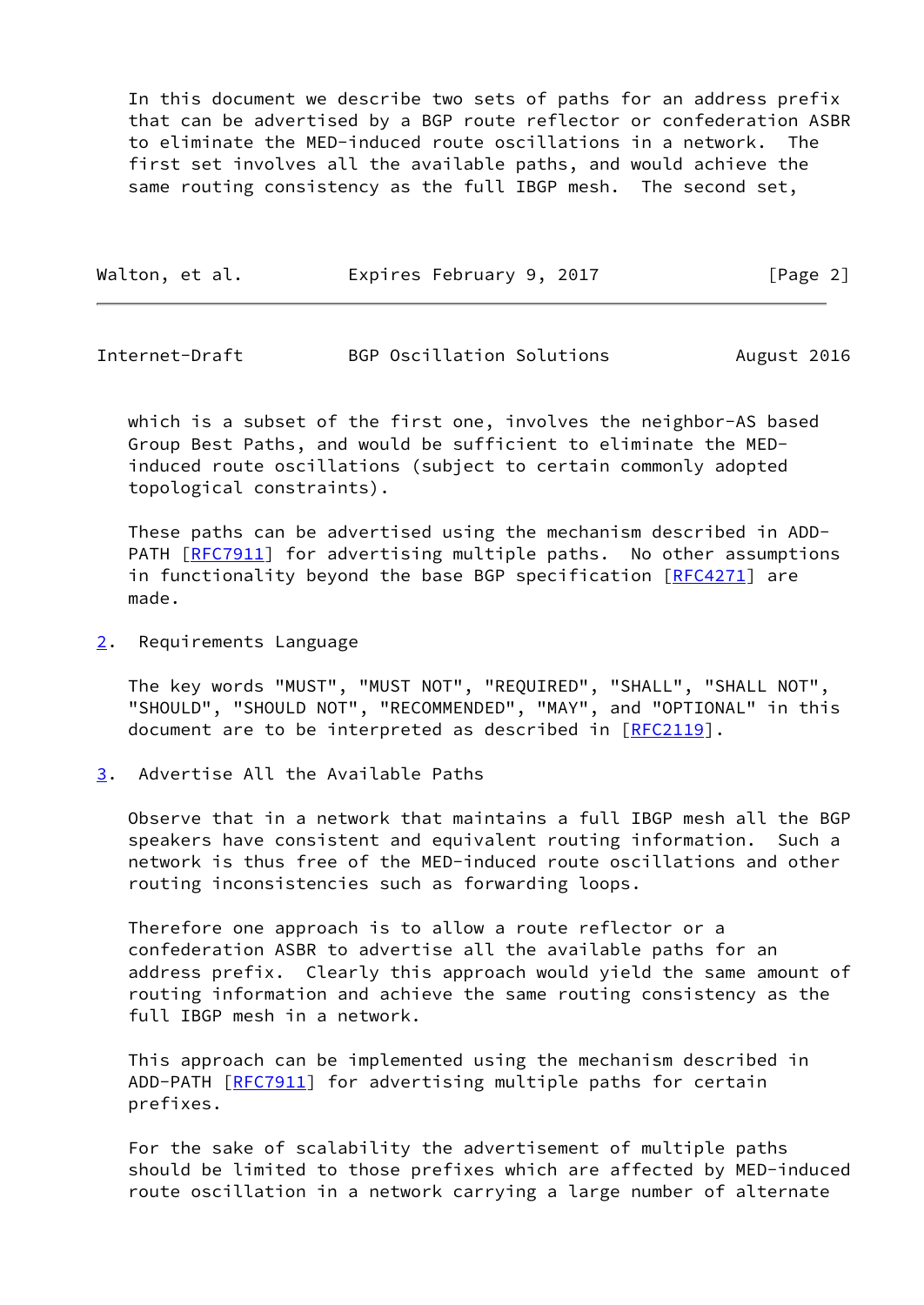In this document we describe two sets of paths for an address prefix that can be advertised by a BGP route reflector or confederation ASBR to eliminate the MED-induced route oscillations in a network. The first set involves all the available paths, and would achieve the same routing consistency as the full IBGP mesh. The second set,

| Walton, et al. | Expires February 9, 2017 |  | [Page 2] |
|----------------|--------------------------|--|----------|
|----------------|--------------------------|--|----------|

<span id="page-2-1"></span>Internet-Draft BGP Oscillation Solutions August 2016

 which is a subset of the first one, involves the neighbor-AS based Group Best Paths, and would be sufficient to eliminate the MED induced route oscillations (subject to certain commonly adopted topological constraints).

 These paths can be advertised using the mechanism described in ADD- PATH [\[RFC7911](https://datatracker.ietf.org/doc/pdf/rfc7911)] for advertising multiple paths. No other assumptions in functionality beyond the base BGP specification [[RFC4271\]](https://datatracker.ietf.org/doc/pdf/rfc4271) are made.

<span id="page-2-0"></span>[2](#page-2-0). Requirements Language

 The key words "MUST", "MUST NOT", "REQUIRED", "SHALL", "SHALL NOT", "SHOULD", "SHOULD NOT", "RECOMMENDED", "MAY", and "OPTIONAL" in this document are to be interpreted as described in [\[RFC2119](https://datatracker.ietf.org/doc/pdf/rfc2119)].

<span id="page-2-2"></span>[3](#page-2-2). Advertise All the Available Paths

 Observe that in a network that maintains a full IBGP mesh all the BGP speakers have consistent and equivalent routing information. Such a network is thus free of the MED-induced route oscillations and other routing inconsistencies such as forwarding loops.

 Therefore one approach is to allow a route reflector or a confederation ASBR to advertise all the available paths for an address prefix. Clearly this approach would yield the same amount of routing information and achieve the same routing consistency as the full IBGP mesh in a network.

 This approach can be implemented using the mechanism described in ADD-PATH [\[RFC7911](https://datatracker.ietf.org/doc/pdf/rfc7911)] for advertising multiple paths for certain prefixes.

 For the sake of scalability the advertisement of multiple paths should be limited to those prefixes which are affected by MED-induced route oscillation in a network carrying a large number of alternate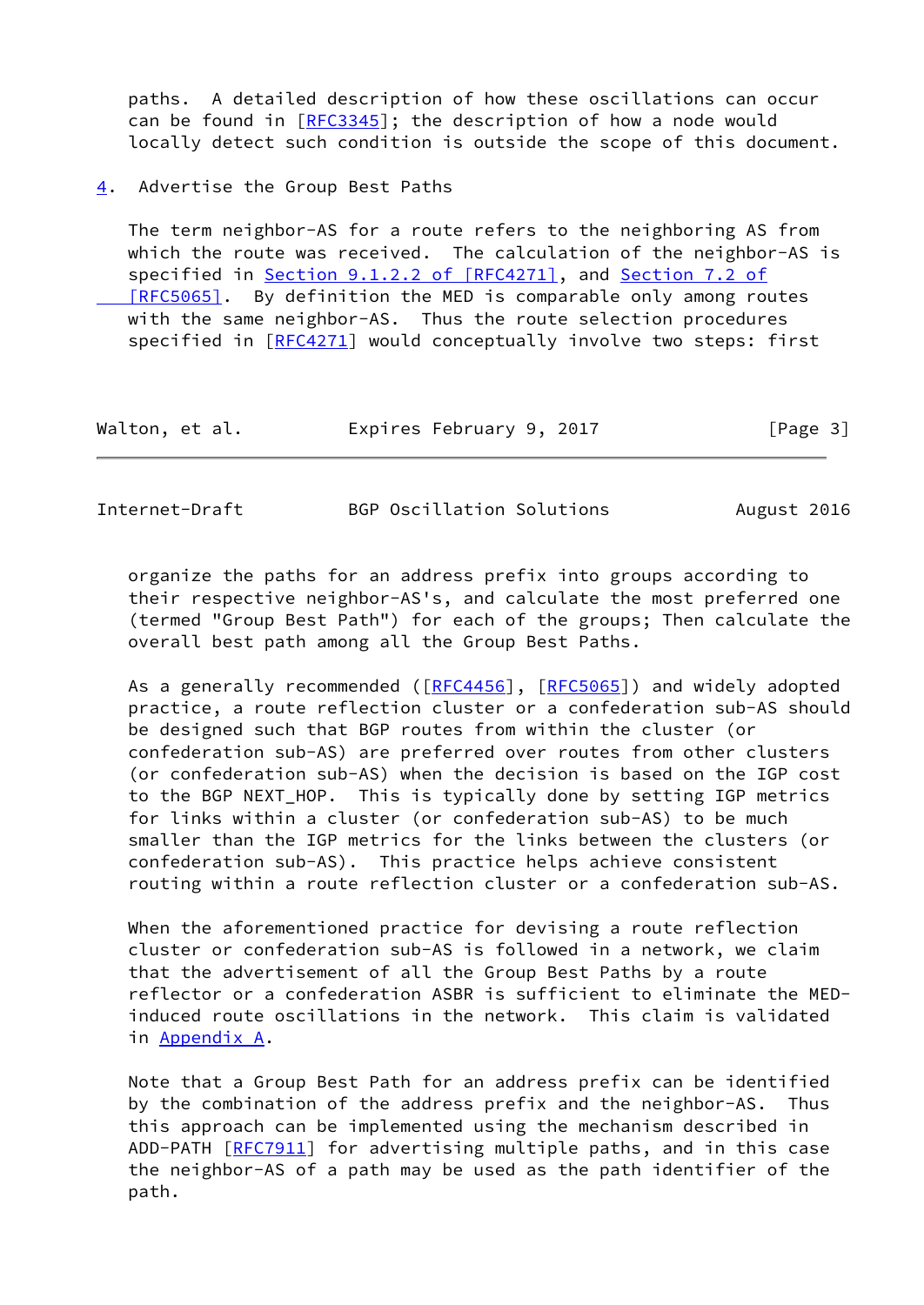paths. A detailed description of how these oscillations can occur can be found in [\[RFC3345](https://datatracker.ietf.org/doc/pdf/rfc3345)]; the description of how a node would locally detect such condition is outside the scope of this document.

<span id="page-3-0"></span>[4](#page-3-0). Advertise the Group Best Paths

 The term neighbor-AS for a route refers to the neighboring AS from which the route was received. The calculation of the neighbor-AS is specified in Section [9.1.2.2 of \[RFC4271\]](https://datatracker.ietf.org/doc/pdf/rfc4271#section-9.1.2.2), and [Section](https://datatracker.ietf.org/doc/pdf/rfc5065#section-7.2) 7.2 of  [\[RFC5065\]](https://datatracker.ietf.org/doc/pdf/rfc5065#section-7.2). By definition the MED is comparable only among routes with the same neighbor-AS. Thus the route selection procedures specified in [\[RFC4271](https://datatracker.ietf.org/doc/pdf/rfc4271)] would conceptually involve two steps: first

| Walton, et al. | Expires February 9, 2017 | [Page 3] |
|----------------|--------------------------|----------|
|----------------|--------------------------|----------|

<span id="page-3-1"></span>Internet-Draft BGP Oscillation Solutions August 2016

 organize the paths for an address prefix into groups according to their respective neighbor-AS's, and calculate the most preferred one (termed "Group Best Path") for each of the groups; Then calculate the overall best path among all the Group Best Paths.

As a generally recommended ([\[RFC4456](https://datatracker.ietf.org/doc/pdf/rfc4456)], [\[RFC5065](https://datatracker.ietf.org/doc/pdf/rfc5065)]) and widely adopted practice, a route reflection cluster or a confederation sub-AS should be designed such that BGP routes from within the cluster (or confederation sub-AS) are preferred over routes from other clusters (or confederation sub-AS) when the decision is based on the IGP cost to the BGP NEXT\_HOP. This is typically done by setting IGP metrics for links within a cluster (or confederation sub-AS) to be much smaller than the IGP metrics for the links between the clusters (or confederation sub-AS). This practice helps achieve consistent routing within a route reflection cluster or a confederation sub-AS.

 When the aforementioned practice for devising a route reflection cluster or confederation sub-AS is followed in a network, we claim that the advertisement of all the Group Best Paths by a route reflector or a confederation ASBR is sufficient to eliminate the MED induced route oscillations in the network. This claim is validated in [Appendix A.](#page-7-1)

 Note that a Group Best Path for an address prefix can be identified by the combination of the address prefix and the neighbor-AS. Thus this approach can be implemented using the mechanism described in ADD-PATH [\[RFC7911](https://datatracker.ietf.org/doc/pdf/rfc7911)] for advertising multiple paths, and in this case the neighbor-AS of a path may be used as the path identifier of the path.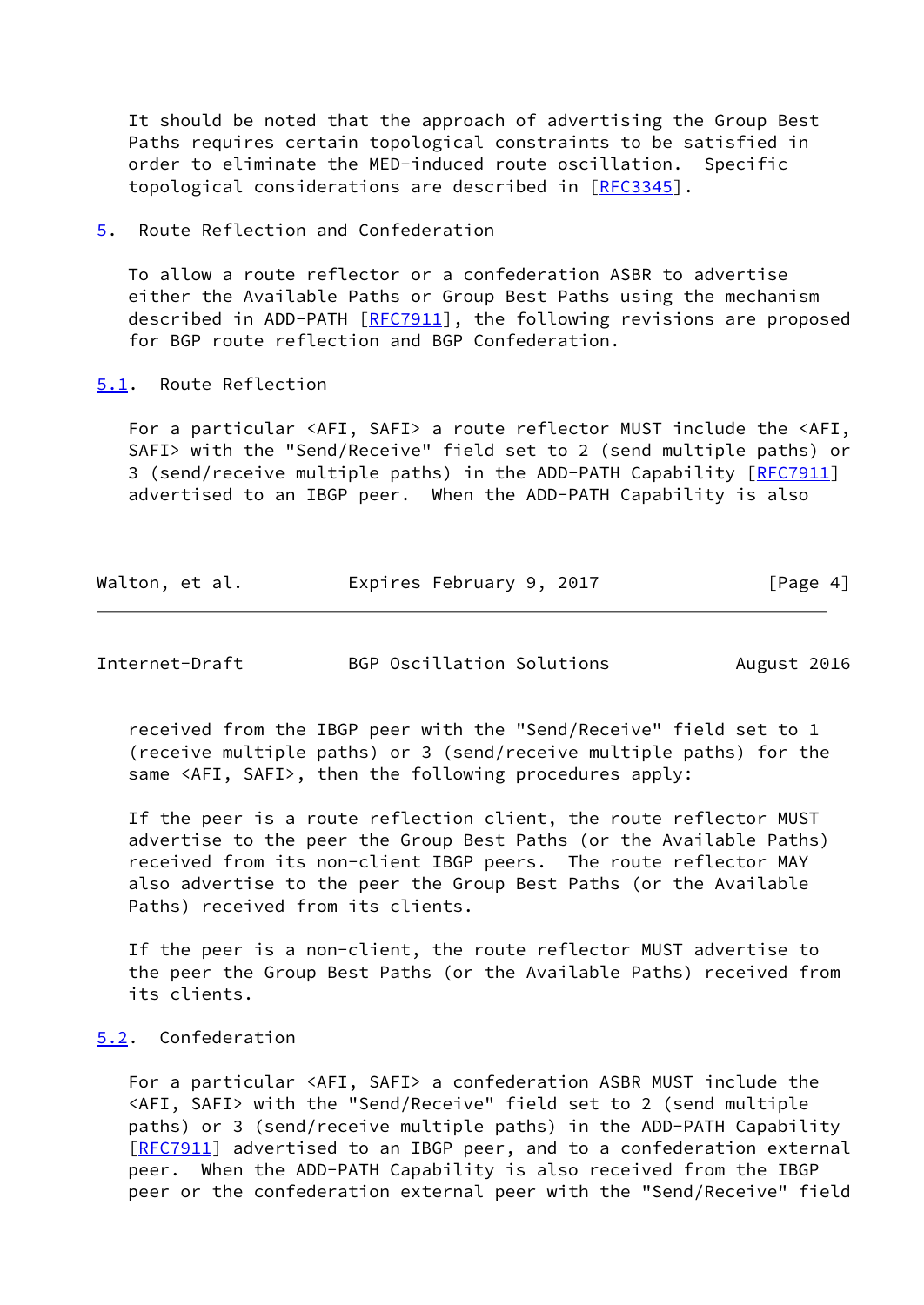It should be noted that the approach of advertising the Group Best Paths requires certain topological constraints to be satisfied in order to eliminate the MED-induced route oscillation. Specific topological considerations are described in [\[RFC3345](https://datatracker.ietf.org/doc/pdf/rfc3345)].

<span id="page-4-0"></span>[5](#page-4-0). Route Reflection and Confederation

 To allow a route reflector or a confederation ASBR to advertise either the Available Paths or Group Best Paths using the mechanism described in ADD-PATH [[RFC7911](https://datatracker.ietf.org/doc/pdf/rfc7911)], the following revisions are proposed for BGP route reflection and BGP Confederation.

## <span id="page-4-1"></span>[5.1](#page-4-1). Route Reflection

 For a particular <AFI, SAFI> a route reflector MUST include the <AFI, SAFI> with the "Send/Receive" field set to 2 (send multiple paths) or 3 (send/receive multiple paths) in the ADD-PATH Capability [[RFC7911\]](https://datatracker.ietf.org/doc/pdf/rfc7911) advertised to an IBGP peer. When the ADD-PATH Capability is also

| Walton, et al. | Expires February 9, 2017 | [Page 4] |
|----------------|--------------------------|----------|
|----------------|--------------------------|----------|

<span id="page-4-3"></span>Internet-Draft BGP Oscillation Solutions August 2016

 received from the IBGP peer with the "Send/Receive" field set to 1 (receive multiple paths) or 3 (send/receive multiple paths) for the same <AFI, SAFI>, then the following procedures apply:

 If the peer is a route reflection client, the route reflector MUST advertise to the peer the Group Best Paths (or the Available Paths) received from its non-client IBGP peers. The route reflector MAY also advertise to the peer the Group Best Paths (or the Available Paths) received from its clients.

 If the peer is a non-client, the route reflector MUST advertise to the peer the Group Best Paths (or the Available Paths) received from its clients.

## <span id="page-4-2"></span>[5.2](#page-4-2). Confederation

 For a particular <AFI, SAFI> a confederation ASBR MUST include the <AFI, SAFI> with the "Send/Receive" field set to 2 (send multiple paths) or 3 (send/receive multiple paths) in the ADD-PATH Capability [\[RFC7911](https://datatracker.ietf.org/doc/pdf/rfc7911)] advertised to an IBGP peer, and to a confederation external peer. When the ADD-PATH Capability is also received from the IBGP peer or the confederation external peer with the "Send/Receive" field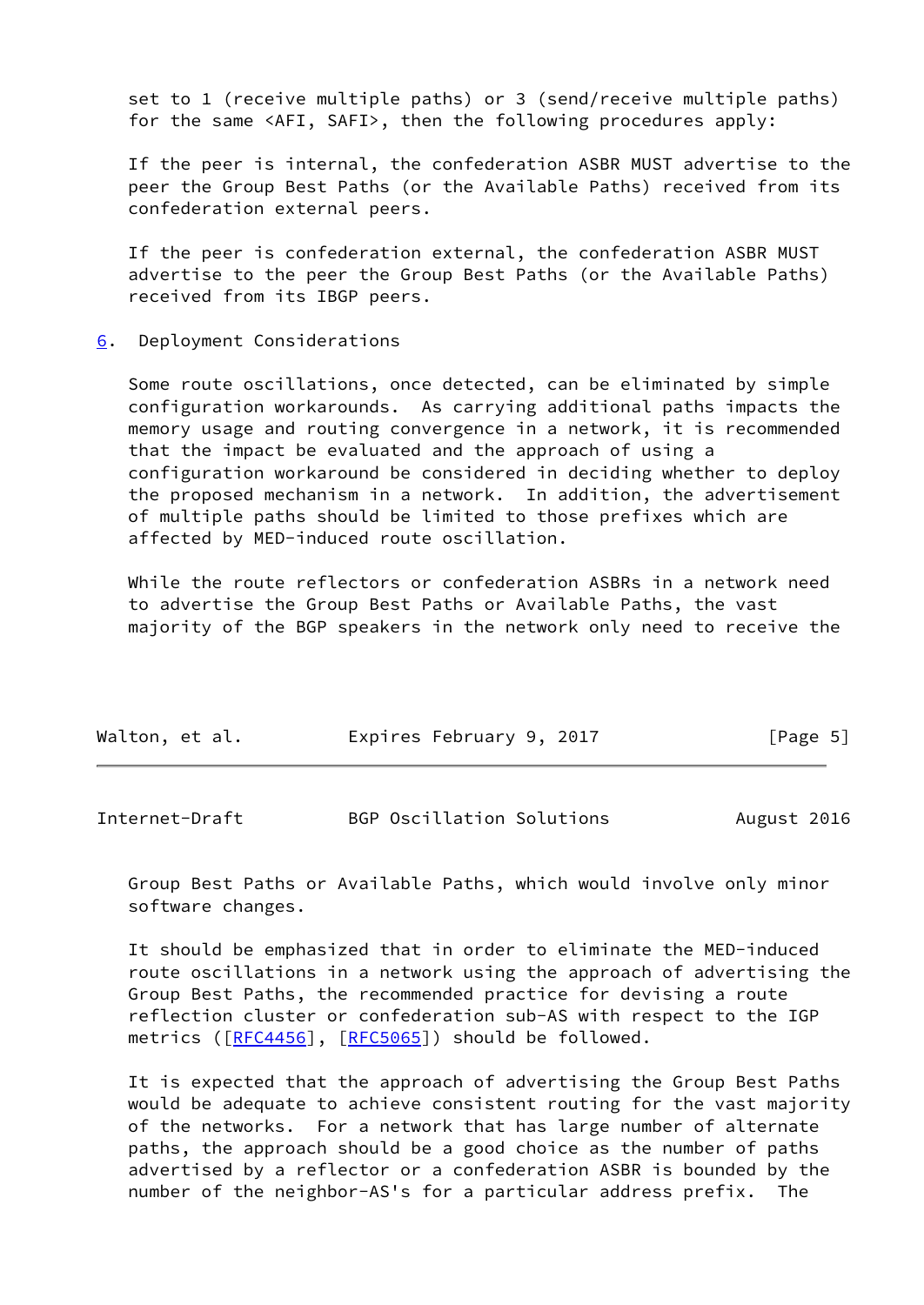set to 1 (receive multiple paths) or 3 (send/receive multiple paths) for the same <AFI, SAFI>, then the following procedures apply:

 If the peer is internal, the confederation ASBR MUST advertise to the peer the Group Best Paths (or the Available Paths) received from its confederation external peers.

 If the peer is confederation external, the confederation ASBR MUST advertise to the peer the Group Best Paths (or the Available Paths) received from its IBGP peers.

<span id="page-5-0"></span>[6](#page-5-0). Deployment Considerations

 Some route oscillations, once detected, can be eliminated by simple configuration workarounds. As carrying additional paths impacts the memory usage and routing convergence in a network, it is recommended that the impact be evaluated and the approach of using a configuration workaround be considered in deciding whether to deploy the proposed mechanism in a network. In addition, the advertisement of multiple paths should be limited to those prefixes which are affected by MED-induced route oscillation.

 While the route reflectors or confederation ASBRs in a network need to advertise the Group Best Paths or Available Paths, the vast majority of the BGP speakers in the network only need to receive the

| Walton, et al. | Expires February 9, 2017 | [Page 5] |
|----------------|--------------------------|----------|
|                |                          |          |

<span id="page-5-1"></span>

| Internet-Draft |  | BGP Oscillation Solutions |  | August 2016 |  |
|----------------|--|---------------------------|--|-------------|--|
|----------------|--|---------------------------|--|-------------|--|

 Group Best Paths or Available Paths, which would involve only minor software changes.

 It should be emphasized that in order to eliminate the MED-induced route oscillations in a network using the approach of advertising the Group Best Paths, the recommended practice for devising a route reflection cluster or confederation sub-AS with respect to the IGP metrics  $(\text{[RFC4456]}, \text{[RFC5065]})$  $(\text{[RFC4456]}, \text{[RFC5065]})$  $(\text{[RFC4456]}, \text{[RFC5065]})$  $(\text{[RFC4456]}, \text{[RFC5065]})$  $(\text{[RFC4456]}, \text{[RFC5065]})$  should be followed.

 It is expected that the approach of advertising the Group Best Paths would be adequate to achieve consistent routing for the vast majority of the networks. For a network that has large number of alternate paths, the approach should be a good choice as the number of paths advertised by a reflector or a confederation ASBR is bounded by the number of the neighbor-AS's for a particular address prefix. The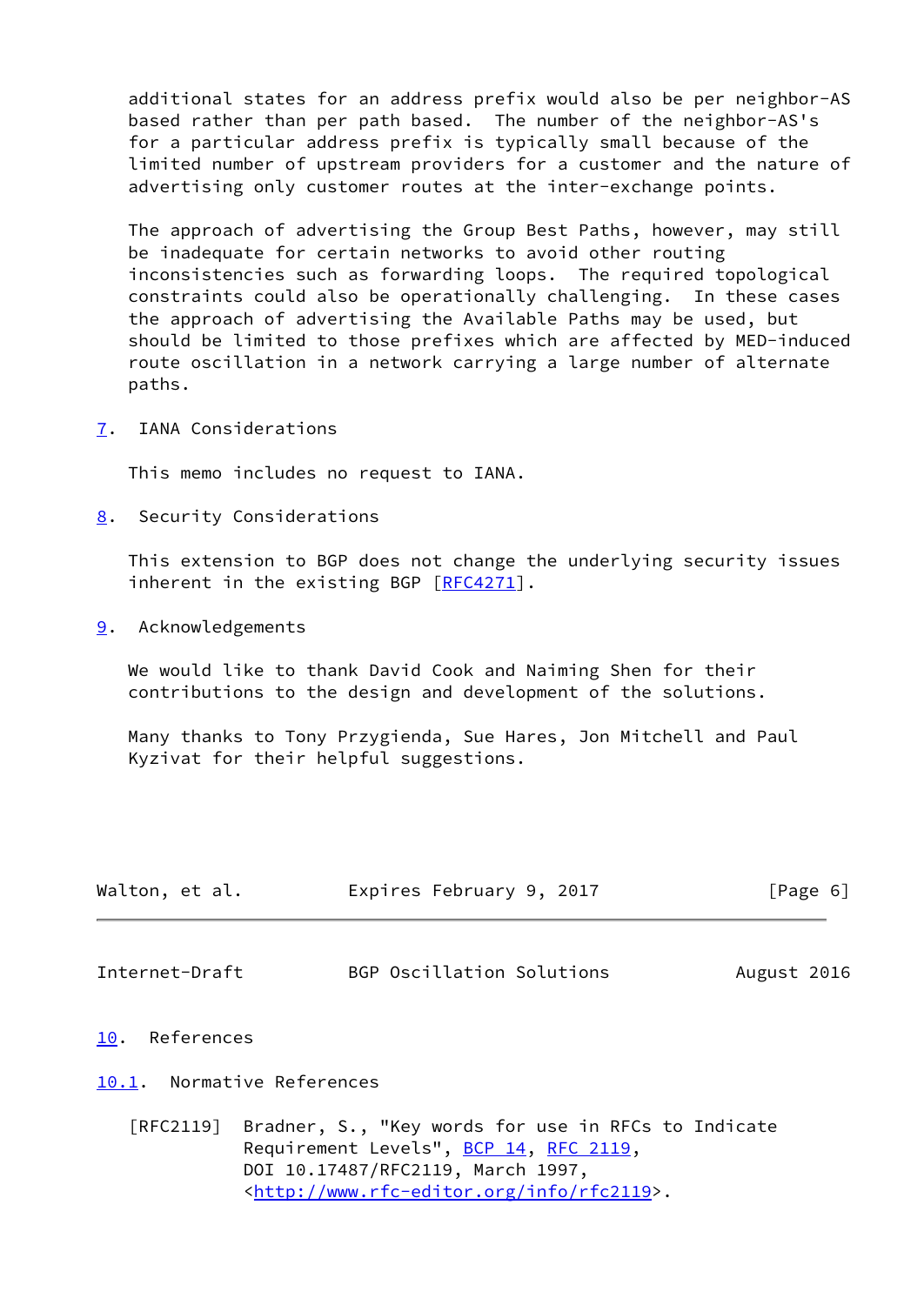additional states for an address prefix would also be per neighbor-AS based rather than per path based. The number of the neighbor-AS's for a particular address prefix is typically small because of the limited number of upstream providers for a customer and the nature of advertising only customer routes at the inter-exchange points.

 The approach of advertising the Group Best Paths, however, may still be inadequate for certain networks to avoid other routing inconsistencies such as forwarding loops. The required topological constraints could also be operationally challenging. In these cases the approach of advertising the Available Paths may be used, but should be limited to those prefixes which are affected by MED-induced route oscillation in a network carrying a large number of alternate paths.

<span id="page-6-0"></span>[7](#page-6-0). IANA Considerations

This memo includes no request to IANA.

<span id="page-6-1"></span>[8](#page-6-1). Security Considerations

 This extension to BGP does not change the underlying security issues inherent in the existing BGP [\[RFC4271](https://datatracker.ietf.org/doc/pdf/rfc4271)].

<span id="page-6-2"></span>[9](#page-6-2). Acknowledgements

 We would like to thank David Cook and Naiming Shen for their contributions to the design and development of the solutions.

 Many thanks to Tony Przygienda, Sue Hares, Jon Mitchell and Paul Kyzivat for their helpful suggestions.

| Walton, et al. |  | Expires February 9, 2017 |  | [Page 6] |  |
|----------------|--|--------------------------|--|----------|--|
|                |  |                          |  |          |  |

<span id="page-6-4"></span>Internet-Draft BGP Oscillation Solutions August 2016

<span id="page-6-3"></span>[10.](#page-6-3) References

## <span id="page-6-5"></span>[10.1](#page-6-5). Normative References

 [RFC2119] Bradner, S., "Key words for use in RFCs to Indicate Requirement Levels", [BCP 14](https://datatracker.ietf.org/doc/pdf/bcp14), [RFC 2119](https://datatracker.ietf.org/doc/pdf/rfc2119), DOI 10.17487/RFC2119, March 1997, <<http://www.rfc-editor.org/info/rfc2119>>.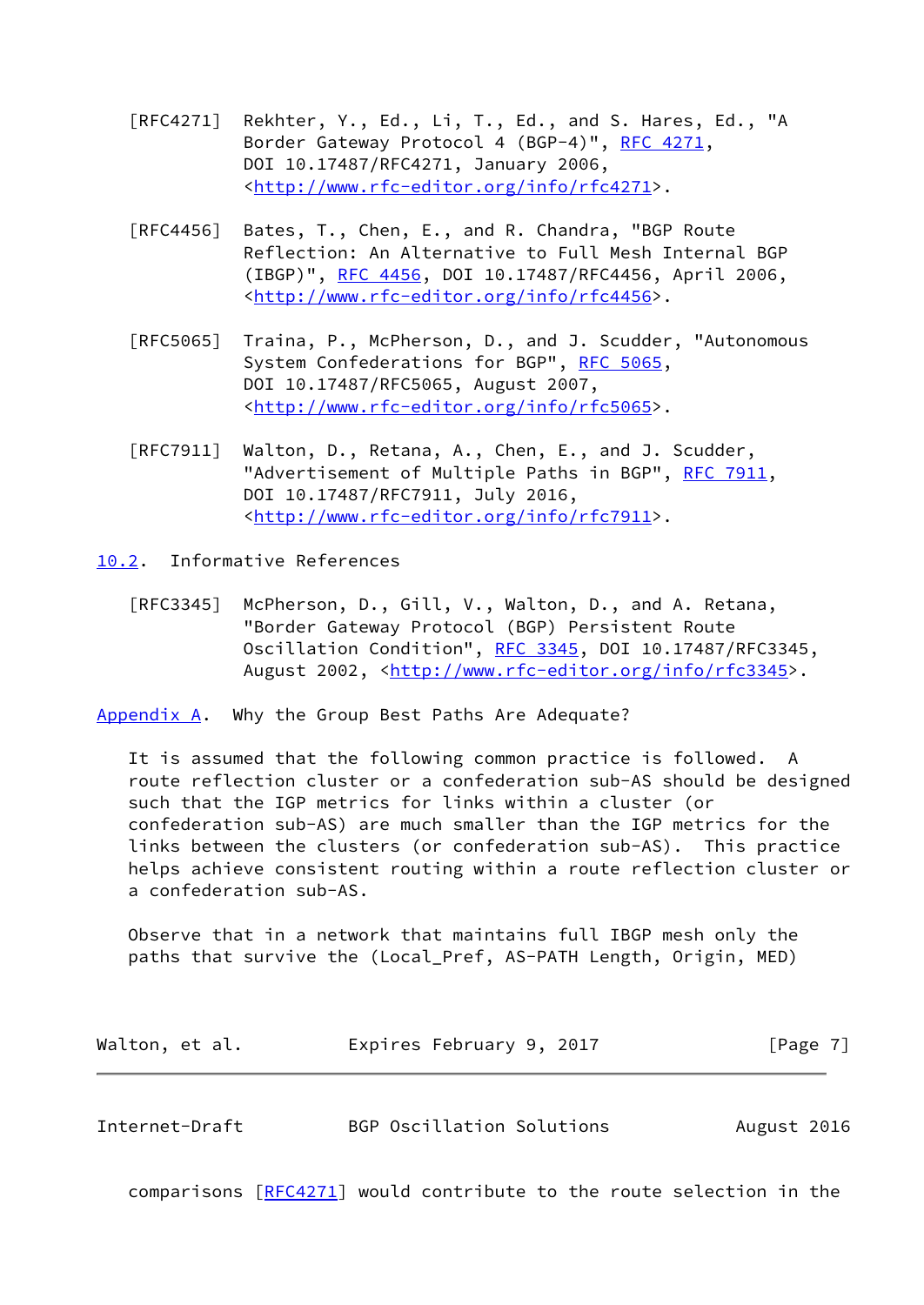- [RFC4271] Rekhter, Y., Ed., Li, T., Ed., and S. Hares, Ed., "A Border Gateway Protocol 4 (BGP-4)", [RFC 4271,](https://datatracker.ietf.org/doc/pdf/rfc4271) DOI 10.17487/RFC4271, January 2006, <<http://www.rfc-editor.org/info/rfc4271>>.
- [RFC4456] Bates, T., Chen, E., and R. Chandra, "BGP Route Reflection: An Alternative to Full Mesh Internal BGP (IBGP)", [RFC 4456,](https://datatracker.ietf.org/doc/pdf/rfc4456) DOI 10.17487/RFC4456, April 2006, <<http://www.rfc-editor.org/info/rfc4456>>.
- [RFC5065] Traina, P., McPherson, D., and J. Scudder, "Autonomous System Confederations for BGP", [RFC 5065,](https://datatracker.ietf.org/doc/pdf/rfc5065) DOI 10.17487/RFC5065, August 2007, <<http://www.rfc-editor.org/info/rfc5065>>.
- [RFC7911] Walton, D., Retana, A., Chen, E., and J. Scudder, "Advertisement of Multiple Paths in BGP", [RFC 7911](https://datatracker.ietf.org/doc/pdf/rfc7911), DOI 10.17487/RFC7911, July 2016, <<http://www.rfc-editor.org/info/rfc7911>>.
- <span id="page-7-0"></span>[10.2](#page-7-0). Informative References
	- [RFC3345] McPherson, D., Gill, V., Walton, D., and A. Retana, "Border Gateway Protocol (BGP) Persistent Route Oscillation Condition", [RFC 3345,](https://datatracker.ietf.org/doc/pdf/rfc3345) DOI 10.17487/RFC3345, August 2002, [<http://www.rfc-editor.org/info/rfc3345](http://www.rfc-editor.org/info/rfc3345)>.

<span id="page-7-1"></span>[Appendix A.](#page-7-1) Why the Group Best Paths Are Adequate?

 It is assumed that the following common practice is followed. A route reflection cluster or a confederation sub-AS should be designed such that the IGP metrics for links within a cluster (or confederation sub-AS) are much smaller than the IGP metrics for the links between the clusters (or confederation sub-AS). This practice helps achieve consistent routing within a route reflection cluster or a confederation sub-AS.

 Observe that in a network that maintains full IBGP mesh only the paths that survive the (Local\_Pref, AS-PATH Length, Origin, MED)

<span id="page-7-2"></span>

| Walton, et al. | Expires February 9, 2017  | [Page $7$ ] |
|----------------|---------------------------|-------------|
|                |                           |             |
| Internet-Draft | BGP Oscillation Solutions | August 2016 |

comparisons [\[RFC4271](https://datatracker.ietf.org/doc/pdf/rfc4271)] would contribute to the route selection in the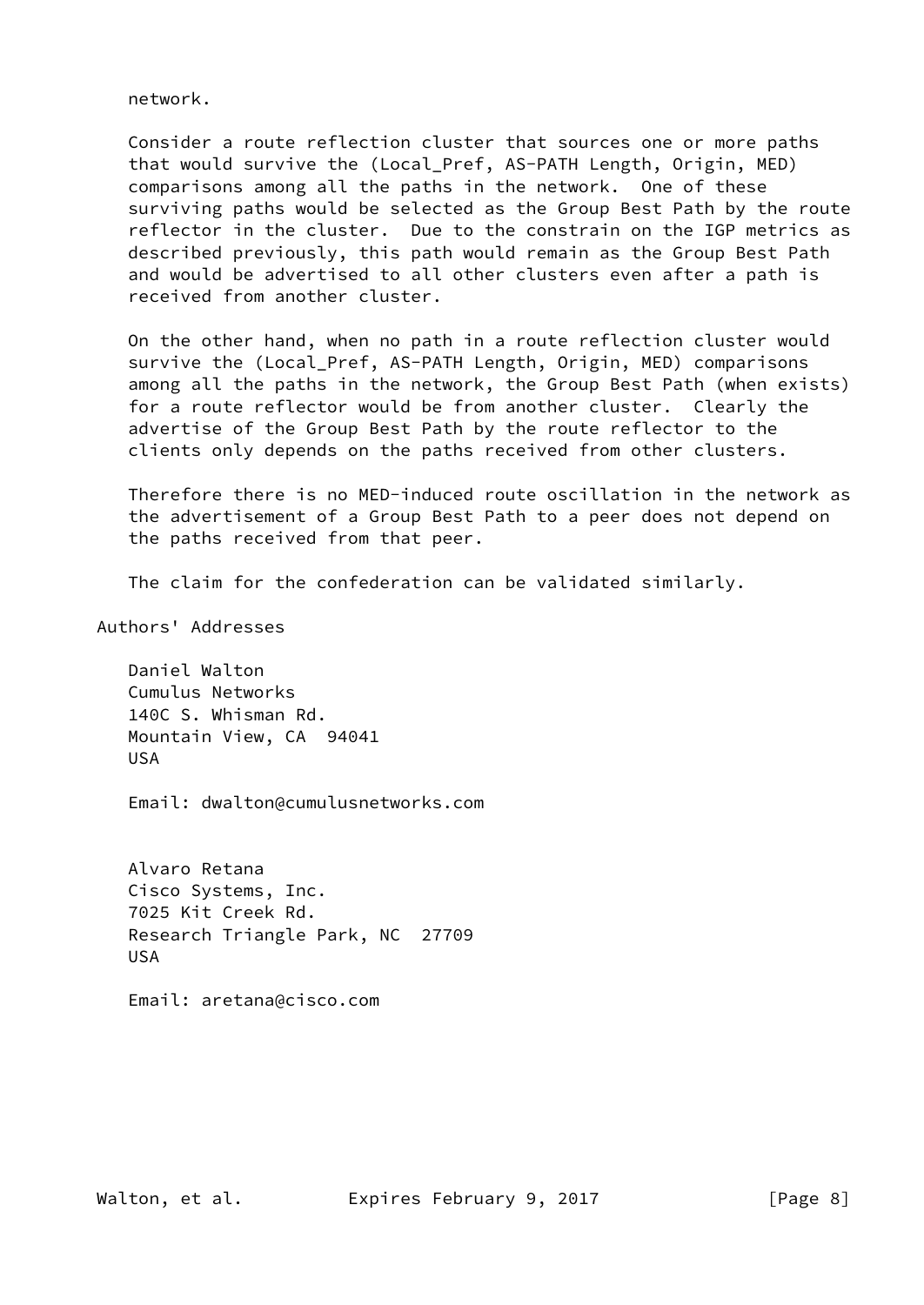network.

 Consider a route reflection cluster that sources one or more paths that would survive the (Local\_Pref, AS-PATH Length, Origin, MED) comparisons among all the paths in the network. One of these surviving paths would be selected as the Group Best Path by the route reflector in the cluster. Due to the constrain on the IGP metrics as described previously, this path would remain as the Group Best Path and would be advertised to all other clusters even after a path is received from another cluster.

 On the other hand, when no path in a route reflection cluster would survive the (Local\_Pref, AS-PATH Length, Origin, MED) comparisons among all the paths in the network, the Group Best Path (when exists) for a route reflector would be from another cluster. Clearly the advertise of the Group Best Path by the route reflector to the clients only depends on the paths received from other clusters.

 Therefore there is no MED-induced route oscillation in the network as the advertisement of a Group Best Path to a peer does not depend on the paths received from that peer.

The claim for the confederation can be validated similarly.

Authors' Addresses

 Daniel Walton Cumulus Networks 140C S. Whisman Rd. Mountain View, CA 94041 USA

Email: dwalton@cumulusnetworks.com

 Alvaro Retana Cisco Systems, Inc. 7025 Kit Creek Rd. Research Triangle Park, NC 27709 USA

Email: aretana@cisco.com